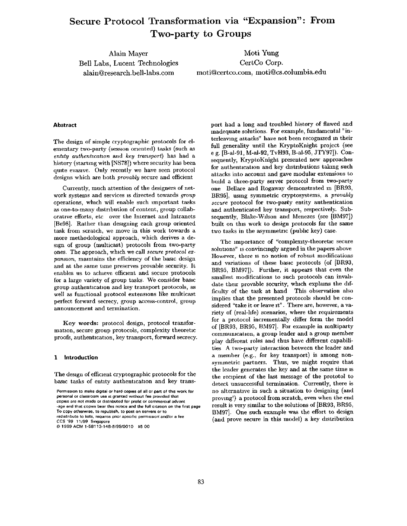# **Secure Protocol Transformation via "Expansion": From Two-party to Groups**

Alain Mayer Bell Labs, Lucent Technologies alain@research.bell-labs.com

Moti Yung CertCo Corp. moti@certco.com, moti@cs.columbia.edu

#### **Abstract**

The design of simple cryptographic protocols for elementary two-party (session oriented) tasks (such as *entity authentzcatwn* and *key transport)* has had a history (starting with [NS78]) where security has been qmte evaswe. Only recently we have seen protocol designs which are both *provably* secure and efficient

Currently, much attention of the designers of network systems and services ks directed towards *group*  operations, which will enable such important tasks as one-to-many distribution of content, group collaboratwe efforts, etc over the Internet and Intranets [Be98]. Rather than designing each group oriented task from scratch, we move in this work towards a more methodological approach, which derives a design of group (multicast) protocols from two-party ones. The approach, which we call *secure protocol expansion, maintains the efficiency of the basic design* and at the same time preserves provable security. It enables us to achieve efficient and secure protocols for a large variety of group tasks. We consider basic group authentication and key transport protocols, as well as functional protocol extensions like multicast perfect forward secrecy, group access-control, group announcement and termination.

Key words: protocol design, protocol transformation, secure group protocols, complexity theoretic proofs, authentication, key transport, forward secrecy.

#### **1 Introduction**

The design of efficient cryptographic protocols for the basic tasks of entity authentication and key trans-

Permission to make digital or hard copies of all or part of this work for **personal or classroom use is granted without fee prowded that copras are not made or distributed for profit** or commercial **advant**  -age and that copies bear this notice and the full citation on the first page **To copy otherwme, to** republish, to post on servers or to redistribute to lists, requires prior specific permission and/or a fee CCS '99 11/99 **Singapore** 

© 1999 ACM 1-58113-148-8/99/0010 \$5 O0

port had a long and troubled history of flawed and inadequate solutions. For example, fundamental "interleawng attacks" have not been recogmzed m their full generality until the KryptoKnight project (see e g. [B-al-91, M-al-92, TvH93, B-al-95, JTY97]). Consequently, KryptoKnight presented new approaches for authentication and key distributions taking such attacks into account and gave modular extensions to build a three-party server protocol from two-party one Bellare and Rogaway demonstrated m [BR93, BR95], using symmetric cryptosystems, a *provably*  secure protocol for two-party entity authentication and authenticated key transport, respectively. Subsequently, Blake-Wilson and Menezes (see [BM97]) built on this work to design protocols for the same two tasks in the asymmetric (public key) case.

The importance of "complexity-theoretic secure solutions" is convincingly argued in the papers above However, there is no notion of robust modifications and variations of these basic protocols (of [BR93, BR95, BM97]). Further, it appears that even the smallest modifications to such protocols can invahdate their provable security, which explains the difficulty of the task at hand This observation also implies that the presented protocols should be considered "take it or leave it'. There are, however, a variety of (real-hfe) scenarios, where the requirements for a protocol incrementally differ form the model of [BR93, BR95, BM97]. For example in multiparty communication, a group leader and a group member play different roles and thus have different capabilities A two-party interaction between the leader and a member (e.g., for key transport) is among nonsymmetric partners. Thus, we might require that the leader generates the key and at the same time is the recipient of the last message of the prototol to detect unsuccessful termination. Currently, there is no alternatwe in such a situation to designing (and proving<sup>t</sup>) a protocol from scratch, even when the end result is very similar to the solutions of [BR93, BR95, BM97]. One such example was the effort to design (and prove secure in this model) a key distribution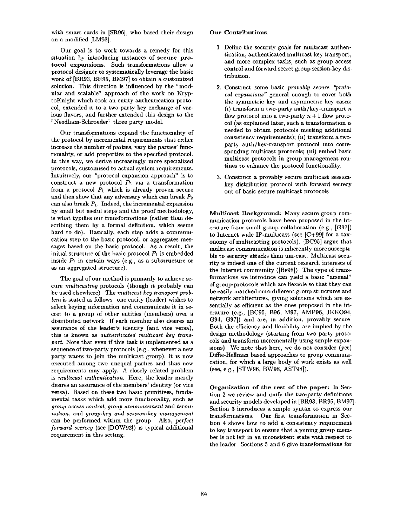with smart cards in [SR96], who based their design on a modified [LM93].

Our goal is to work towards a remedy for this situation by introducing instances of secure protocol expansions. Such transformations allow a protocol designer to systematically leverage the basic work of [BR93, BR95, BM97] to obtain a customized solution. This direction is influenced by the "modular and scalable" approach of the work on KryptoKnight which took an entity authentication protocol, extended it to a two-party key exchange of various flavors, and further extended this design to the "Needham-Schroeder" three party model.

Our transformations expand the functionality of the protocol by incremental reqmrements that either increase the number of parties, vary the parties' functionality, or add properties to the specified protocol. In this way, we derive increasingly more specialized protocols, customazed to actual system requirements. Intuitively, our "protocol expansion approach" is to construct a new protocol  $P_2$  via a transformation from a protocol  $P_1$  which is already proven secure and then show that any adversary which can break  $P_2$ can also break  $P_1$ . Indeed, the incremental expansion by small but useful steps and the proof methodology, is what typffies our transformations (rather than describing them by a formal definition, which seems hard to do). Basically, each step adds a communication step to the basac protocol, or aggregates messages based on the basic protocol. As a result, the initial structure of the basic protocol  $P_1$  is embedded inside  $P_2$  in certain ways (e.g., as a substructure or as an aggregated structure).

The goal of our method is primarily to achieve secure *multzcastmg* protocols (though it probably can be used elsewhere) The *multicast key transport problem* is stated as follows one entity (leader) wishes to select keying information and communicate it in secret to a group of other entities (members) over a distributed network If each member also desires an assurance of the leader's identity (and vice versa), this as known as *authentzcated multzcast key transport.* Note that even if this task is implemented as a sequence of two-party protocols (e.g., whenever a new party wants to join the multicast group), it is now executed among two unequal parties and thus new requirements may apply. A closely related problem is *multicast authentication*. Here, the leader merely desires an assurance of the members' identity (or vice versa). Based on these two basic primitives, fundamental tasks which add more functionality, such as *group access control, group announcement* and *termznatwn,* and *group-key and sesswn-key management*  can be performed within the group Also, *perfect forward secrecy* (see [DOW92]) as typical additional requirement in this setting.

#### Our **Contributions.**

- **1** Define the security goals for multicast authentication, authenticated multicast key transport, and more complex tasks, such as group access control and forward secret group session-key distribution.
- 2. Construct some basic *provably secure "protocol expansions"* general enough to cover both the symmetric key and asymmetric key cases: (1) transform a two-party auth/key-transport  $n$ flow protocol into a two-party  $n + 1$  flow protocol (as explained later, such a transformation is needed to obtain protocols meeting additional  $consistency$  requirements):  $(n)$  transform a twoparty auth/key-transport protocol mto corresponding multicast protocols; (hi) embed basic multicast protocols in group management routines to enhance the protocol functionality.
- 3. Construct a provably secure multicast sessionkey distribution protocol with forward secrecy out of basic secure multicast protocols

Multicast Background: Many secure group communication protocols have been proposed in the hterature from small group collaboration (e.g., [G97]) to Internet wide IP-multicast (see  $[C+99]$  for a taxonomy of multicasting protocols). [BC95] argue that multicast commumcation is inherently more susceptible to security attacks than uni-cast. Multicast security is indeed one of the current research interests of the Internet community ([Be98]) The type of transformations we introduce can yield a basic "arsenal" of group-protocols which are flexible so that they can be easily matched onto different group structures and network architectures, giving solutions which are essentially as efficient as the ones proposed in the literature (e.g., [BC95, B96, M97, AMP96, JKKO94, G94, G97]) and are, m addition, provably secure Both the efficiency and flexibihty are imphed by the design methodology (starting from two party protocols and transform incrementally using simple expansions) We note that here, we do not consider (yet) Diffie-Hellman based approaches to group commumcation, for which a large body of work exists as well (see, e g., [STW96, BW98, AST98]).

Organization of the rest of the paper: In Section 2 we review and umfy the two-party definitions and security models developed in [BR93, BR95, BM97]. Section 3 introduces a simple syntax to express our transformations. Our first transformation in Section 4 shows how to add a consistency requirement to key transport to ensure that a joining group member is not left in an inconsistent state with respect to the leader Sections 5 and 6 give transformations for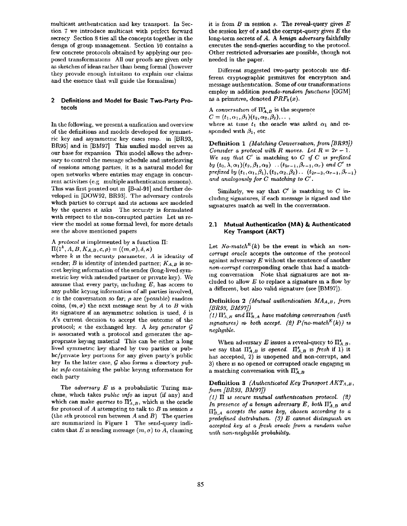multicast authentication and key transport. In Section 7 we introduce multicast with perfect forward secrecy Section 8 ties all the concepts together in the design of group management. Section 10 contains a few concrete protocols obtained by applying our proposed transformations All our proofs are given only as sketches of ideas rather than being formal (however they provide enough intuition to explain our claims and the essence that will guide the formalism)

## **2 Definitions and Model for Basic Two-Party Protocols**

In the following, we present a unification and overview of the definitions and models developed for symmetric key and asymmetric key cases resp. in [BR93, BR95] and in [BM97] This unified model serves as our base for expansion This model allows the adversary to control the message schedule and interleaving of sessions among parties, it is a natural model for open networks where entities may engage in concurrent activities (e.g multiple authentication sessions). This was first pointed out in [B-al-91] and further developed in [DOW92, BR93]. The adversary controls which parties to corrupt and its actions are modeled by the queries it asks The security is formulated with respect to the non-corrupted parties Let us review the model at some formal level, for more details see the above mentioned papers

## *A protocol* is implemented by a function  $\Pi$ :  $\Pi(1^k, A, B, K_{A,B}, c, \rho) = ((m, \sigma), \delta, \kappa)$

where  $k$  is the security parameter,  $A$  is identity of sender;  $B$  is identity of intended partner;  $K_{A,B}$  is secret keying information of the sender (long-lived symmetric key with intended partner or private key). We assume that every party, including  $E$ , has access to any public keying information of all parties involved, c is the conversation so far;  $\rho$  are (possible) random coins,  $(m, \sigma)$  the next message sent by A to B with its signature if an asymmetric solution is used,  $\delta$  is A's current decision to accept the outcome of the protocol;  $\kappa$  the exchanged key. A *key generator*  $\mathcal G$ is associated with a protocol and generates the appropriate keying material This can be either a long lived symmetric key shared by two parties or public/private key portions for any given party's public key In the latter case, G also forms a directory *public info* containing the public keying information for each party

The *adversary*  $E$  is a probabilistic Turing machine, which takes *pubhc znfo as* input (if any) and which can make *queries* to  $\Pi_{A,B}^s$ , which is the oracle for protocol of  $A$  attempting to talk to  $B$  in session  $s$ (the sth protocol run between  $A$  and  $B$ ) The queries are summarized in Figure 1 The send-query indicates that E is sending message  $(m, \sigma)$  to A, claiming it is from  $B$  m session  $s$ . The reveal-query gives  $E$ the session key of s and the corrupt-query gives  $E$  the long-term secrets of A. A *benign adversary* faithfully executes the send-queries according to the protocol. Other restricted adversaries are possible, though not needed in the paper.

Different suggested two-party protocols use different cryptographic primitives for encryption and message authentication. Some of our transformations employ in addition *pseudo-random functions* [GGM] as a primitive, denoted  $PRF_k(x)$ .

A conversation of  $\Pi_{A,B}^{s}$  is the sequence  $C = (t_1,\alpha_1,\beta_1)(t_2,\alpha_2,\beta_2),\ldots,$ 

where at time  $t_1$  the oracle was asked  $\alpha_1$  and responded with  $\beta_1$ , etc

Definition 1 *(Matching Conversation, from [BR93]) Consider a protocol with R moves. Let*  $R = 2r - 1$ . We say that  $C'$  is matching to  $C$  if  $C$  is prefixed *by*  $(t_0, \lambda, \alpha_1)(t_2, \beta_1, \alpha_2) \ldots (t_{2r-1}, \beta_{r-1}, \alpha_r)$  and  $C'$  is *prefixed by*  $(t_1, \alpha_1, \beta_1), (t_3, \alpha_2, \beta_2)$ ..  $(t_{2r-3}, \alpha_{r-1}, \beta_{r-1})$ and analogously for C matching to  $C'$ .

Similarly, we say that  $C'$  is matching to C including signatures, if each message is signed and the signatures match as well in the conversation.

# **2.1 Mutual Authentication (MA) & Authenticated Key Transport (AKT)**

Let  $No-match^{E}(k)$  be the event in which an *noncorrupt oracle* accepts the outcome of the protocol against adversary  $E$  without the existence of another *non-corrupt* corresponding oracle that had a matchmg conversation Note that signatures are not included to allow  $E$  to replace a signature in a flow by a different, but also valid signature (see [BM97]).

Definition 2 *(Mutual authentication MAA,B, from [BR93, BM97])* 

 $I(1)$   $\Pi_{A,B}^{s}$  and  $\Pi_{B,A}^{s}$  have matching conversation (with  $spanatures) \Rightarrow both accept.$  (2)  $P(no-match^{E}(k))$  is *neghgzble.* 

When adversary E issues a reveal-query to  $\Pi_{A,B}^s$ , we say that  $\Pi_{A,B}^s$  is *opened.*  $\Pi_{A,B}^s$  is *fresh* if 1) it has accepted, 2) is unopened and non-corrupt, and 3) there is no opened or corrupted oracle engaging in a matching conversation with  $\Pi_{A,B}^s$ 

# Definition 3 *(Authenticated Key Transport AKTA,B, from [BR93, BM97])*

 $(1)$  II *is secure mutual authentication protocol.* (2) *In presence of a benign adversary E, both*  $\Pi_{A,B}^{s}$  and  $\Pi_{B,A}^s$  accepts the same key, chosen according to a *predefined dzstmbutwn. (3) E cannot distmguzsh an accepted key at a fresh oracle from a random value w~th non-neghg~ble probabihty.*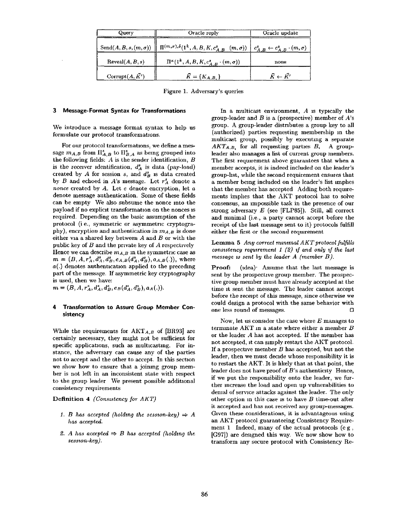| Query                        | Oracle reply                                                                                                                      | Oracle update           |
|------------------------------|-----------------------------------------------------------------------------------------------------------------------------------|-------------------------|
| $Send(A, B, s, (m, \sigma))$ | $\mid \Pi^{(m,\sigma),\delta}(1^k, A, B, K, c^s_{A,B} \quad (m,\sigma)) \ \mid \ c^s_{A,B} \leftarrow c^s_{A,B} \cdot (m,\sigma)$ |                         |
| Reveal(A, B, s)              | $\Pi^{\kappa}(1^k, A, B, K, c^s_{A,B} \cdot (m, \sigma))$                                                                         | none                    |
| Corrupt $(A, \vec{K'})$      | $\bar{K} = \{K_{A,B_{i}}\}$                                                                                                       | $\vec{K} \leftarrow K'$ |

Figure 1. Adversary's queries

#### **3 Message-Format Syntax for Transformations**

We introduce a message format syntax to help us formulate our protocol transformations.

For our protocol transformations, we define a message  $m_{A,B}$  from  $\Pi_{A,B}^s$  to  $\Pi_{B,A}^s$  as being grouped into the following fields:  $A$  is the sender identification,  $B$ is the receiver identification,  $d_A^s$  is data (pay-load) created by  $A$  for session  $s$ , and  $d_B^s$  is data created by  $B$  and echoed in  $A$ 's message. Let  $r_A^s$  denote a *nonce* created by A. Let e denote encryption, let a denote message authentication. Some of these fields can be empty We also subsume the nonce into the payload if no explicit transformation on the nonces is required. Depending on the basic assumption of the protocol (i.e., symmetric or asymmetric cryptography), encryption and authentication in *mA,8* is done either via a shared key between  $A$  and  $B$  or with the public key of  $B$  and the private key of  $A$  respectively Hence we can describe  $m_{A,B}$  in the symmetric case as  $m = (B, A, r_A^s, d_A^s, d_B^s, e_{A,B}(d_A^s, d_B^s), a_{A,B}(.)),$  where  $a(.)$  denotes authentication applied to the preceding part of the message. If asymmetric key cryptography is used, then we have:

 $m = (B, A, r_A^s, d_A^s, d_B^s, e_B(d_A^s, d_B^s), a_A(.)).$ 

# **4 Transformation to Assure Group Member Consistency**

While the requirements for  $AKT_{A,B}$  of [BR93] are certainly necessary, they might not be sufficient for specific applications, such as multicasting. For instance, the adversary can cause any of the parties not to accept and the other to accept. In this section we show how to ensure that a joining group member is not left in an inconsistent state with respect to the group leader We present possible additional consistency requirements

Definition 4 *(Conszstency for AKT)* 

- *1. B has accepted (holding the session-key)*  $\Rightarrow$  *A has accepted.*
- 2. A has accepted  $\Rightarrow$  B has accepted (holding the *sesswn-key).*

In a multicast environment,  $A$  is typically the group-leader and  $B$  is a (prospective) member of  $A$ 's group. A group-leader distributes a group key to all (authorized) parties requesting membership m the multicast group, possibly by executing a separate  $AKT_{A,B}$ , for all requesting parties  $B<sub>i</sub>$  A groupleader also manages a list of current group members. The first requirement above guarantees that when a member accepts, it is indeed included on the leader's group-hst, while the second requirement ensures that a member being included on the leader's list implies that the member has accepted Adding both requirements imphes that the AKT protocol has to solve consensus, an Impossible task in the presence of our strong adversary  $E$  (see [FLP85]). Still, all correct and minimal (i.e., a party cannot accept before the receipt of the last message sent to it) protocols fulfill either the first or the second requirement

Lemma 5 *Any correct manamal AKT protocol fulfills consistency requirement 1 (2) if and only if the last message is sent by the leader A (member B).* 

**Proof:** (idea) Assume that the last message is sent by the prospective group member. The prospective group member must have already accepted at the time it sent the message. The leader cannot accept before the receipt of this message, since otherwise we could design a protocol with the same behavior with one less round of messages. O

Now, let us consider the case where  $E$  manages to terminate  $AKT$  in a state where either a member  $B$ or the leader A has not accepted. If the member has not accepted, it can simply restart the AKT protocol. If a prospective member  $B$  has accepted, but not the leader, then we must decide whose responsibility it is to restart the AKT. It is hkely that at that point, the leader does not have proof of B's authenticity Hence, if we put the responsibility onto the leader, we further increase the load and open up vulnerabilities to demal of service attacks against the leader. The only other option in this case is to have  $B$  time-out after it accepted and has not received any group-messages. Given these considerations, it is advantageous using an AKT protocol guaranteeing Consistency Requirement 1 Indeed, many of the actual protocols (e g, [G97]) are demgned this way. We now show how to transform any secure protocol with Consistency Re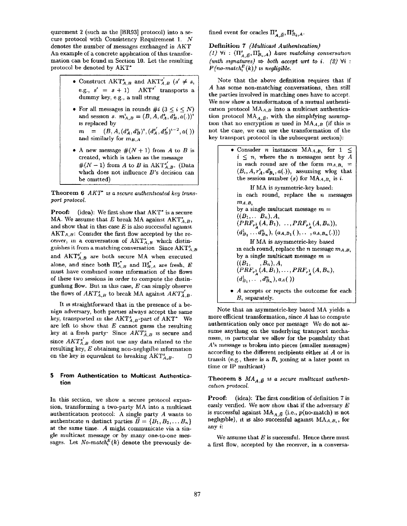quirement 2 (such as the  $[BR93]$  protocol) into a secure protocol with Consistency Requirement 1. N denotes the number of messages exchanged in AKT An example of a concrete application of this transformation can be found in Section 10. Let the resulting protocol be denoted by AKT\*

- Construct  $\text{AKT}_{A,B}^s$  and  $\text{AKT}_{A,B}^{s'}$  ( $s' \neq s$ , e.g.,  $s' = s + 1$ ) AKT<sup>s'</sup> transports a dummy key, e.g., a null string
- For all messages in rounds #i  $(3 \le i \le N)$ and session *s.*  $m_{A,B}^i = (B, A, d_A^s, d_B^s, a(.))^i$ is replaced by  $m = (B, A, (d_A^s, d_B^s)^t, (d_A^{s'}, d_B^{s'})^{t-2}, a()$ and similarly for  $m_{B,A}$
- A new message  $\#(N+1)$  from A to B is created, which is taken as the message  $\#(N-1)$  from A to B in AKT<sup>s'</sup><sub>A,B</sub>. (Data which does not influence  $B$ 's decision can be omitted)

Theorem 6  $AKT^*$  is a secure authenticated key trans*port protocol.* 

Proof: (idea): We first show that AKT\* is a secure MA. We assume that E break MA against  $AKT^*_{A,B}$ , and show that in this case  $E$  is also successful against  $AKT_{A,B}$ : Consider the first flow accepted by the receiver, in a conversation of  $AKT^*_{A,B}$  which distinguishes it from a matching conversation Since  $\text{AKT}^s_{A,B}$ and  $AKT_{A,B}^{s'}$  are both secure MA when executed alone, and since both  $\Pi_{A,B}^{s^*}$  and  $\Pi_{B,A}^{s^*}$  are fresh, E must have combined some information of the flows of these two sessions in order to compute the distinguishing flow. But in this case,  $E$  can simply observe the flows of  $AKT_{A,B}^s$  to break MA against  $AKT_{A,B}^{s'}$ .

It is straightforward that in the presence of a benign adversary, both parties always accept the same key, transported in the AKT<sup>s</sup><sub>A</sub>-part of AKT<sup>\*</sup> We are left to show that  $E$  cannot guess the resulting key at a fresh party<sup>.</sup> Since  $AKT^s_{A,B}$  is secure and since  $AKT_{A,B}^{s'}$  does not use any data related to the resulting key,  $E$  obtaining non-negligibe information on the key is equivalent to breaking  $AKT^s_{A,B}$ .  $\Box$ 

# **5 From Authentication to Multicast Authentication**

In this section, we show a secure protocol expansion, transforming a two-party MA into a multicast authentication protocol: A single party A wants to authenticate *n* distinct parties  $\tilde{B} = \{B_1, B_2, \ldots, B_n\}$ at the same time. A might communicate via a single multicast message or by many one-to-one messages. Let  $No-match<sup>E</sup>(k)$  denote the previously defined event for oracles  $\Pi_{A\ \vec{B}}^{s}$ ,  $\Pi_{B_{s},A}^{s}$ .

## Definition 7 *(Multicast Authentication)*

 $(1)$   $\forall i$  :  $(\Pi_{A,\vec{B}}^s, \Pi_{B_i,A}^s)$  *have matching conversation* (with signatures)  $\Rightarrow$  both accept wrt to *i.* (2)  $\forall i$  :  $P(no-match<sup>E</sup><sub>r</sub>(k))$  is negligible.

Note that the above definition requires that if A has some non-matching conversations, then still the parties involved in matching ones have to accept. We now show a transformation of a mutual authentication protocol  $MA_{A,B}$  into a multicast authentication protocol  $MA_{A,\vec{B}}$ , with the simplifying assumption that no encryption is used in  $MA_{A,B}$  (if this is not the case, we can use the transformation of the key transport protocol in the subsequent section):

> • Consider *n* instances  $MA_{A,B}$ , for  $1 \leq$  $i \leq n$ , where the *n* messages sent by *A* in each round are of the form  $m_{A,B_t}$  =  $(B_{i}, A, r_A^i, d_{B_i}^i, a(.)),$  assuming wlog that the session number (s) for  $MA_{A,B}$ , is *i*. If MA is symmetric-key based: in each round, replace the  $n$  messages  $m_{A,B}$ by a single multicast message  $m =$  $((B_1, \ldots B_n), A,$  $(PRF_{r_{A}^{1}}(A, B_{1}), ..., PRF_{r_{A}^{1}}(A, B_{n})),$

 $(d_{B_1}^1 \ldots d_{B_n}^n), (a_{A,B_1}({\cdot}), \ldots, a_{A,B_n}({\cdot})))$ If MA is asymmetric-key based in each round, replace the *n* message  $m_{A,B}$ , by a single multicast message  $m =$  $((B_1, \ldots, B_n), A,$  $(PRF_{r^1}(A, B_1), \ldots, PRF_{r^1}(A, B_n),$  $(d^1_{B_1}, \ldots, d^n_{B_n}), a_A()$ 

• A accepts or rejects the outcome for each  $B<sub>i</sub>$  separately.

Note that an asymmetric-key based MA yields a more efficient transformation, since A has to compute authentication only once per message We do not assume anything on the underlying transport mechamsm, in particular we allow for the possibility that A's message is broken into pieces (smaller messages) according to the different recipients either at A or in transit (e.g., there is a  $B_i$  joining at a later point in time or IP multicast)

Theorem 8  $MA_{A,\vec{B}}$  is a secure multicast authenti*catwn protocol.* 

Proof: (idea): The first condition of definition 7 is easily verified. We now show that if the adversary  $E$ is successful against  $MA_{A,\vec{B}}$  (i.e.,  $p(no\text{-}match)$  is not negligible), it is also successful against *MAA,B,,* for any i:

We assume that  $E$  is successful. Hence there must a first flow, accepted by the receiver, in a conversa-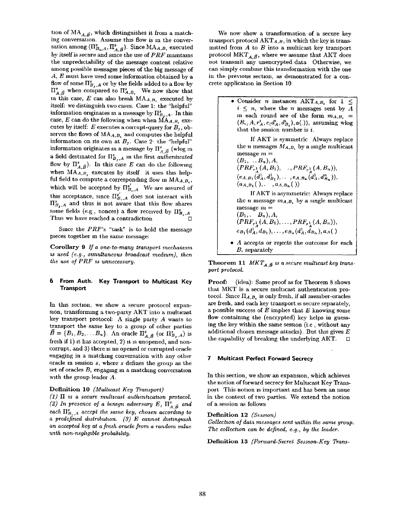tion of  $MA_{A,\vec{B}}$ , which distinguishes it from a matching conversation. Assume this flow is m the conver sation among  $(\Pi_{B_1,A}^s, \Pi_{A,\vec{B}}^s)$ . Since  $MA_{A,B_s}$  executed by itself is secure and since the use of *PRF* maintains the unpredictability of the message content relative among possible messages pieces of the big message of A, E must have used some information obtained by a flow of some  $\Pi_{B,.,A}^{s}$  or by the fields added to a flow by  $\Pi_{A,\vec{B}}^{s}$  when compared to  $\Pi_{A,B_{t}}^{s}$  We now show that in this case, E can also break  $MA_{A,B}$ , executed by itself: we distinguish two cases. Case 1: the "helpful" information originates in a message by  $\Pi_{B_1,A}^s$ . In this case, E can do the following when when  $MA_{A,B}$ , executes by itself: E executes a corrupt-query for  $B_1$ , observes the flows of  $MA_{A,B_1}$  and computes the helpful information on its own at  $B_j$ . Case 2- the "helpful" information originates in a message by  $\prod_{A,B}^{s}$  (wlog in a field destinated for  $\Pi_{B_1,A}^s$  in the first *authenticated* flow by  $\Pi_{A,\vec{B}}^{s}$ . In this case E can do the following when  $MA_{A,B}$ , executes by itself it uses this helpful field to compute a corresponding flow in  $MA_{A,B_{1}}$ , which will be accepted by  $\prod_{B_i,A}^{s'}$  We are assured of this acceptance, since  $\Pi_{B_1,A}^{s'}$  does not interact with  $\Pi_{B_1,A}^s$  and thus is not aware that this flow shares some fields (e.g, nonces) a flow received by  $\prod_{B_1,A}^s$ Thus we have reached a contradiction

Since the *PRF's* "task" is to hold the message pieces together m the same message:

**Corollary** 9 *If a one-to-many transport mechanzsm zs used (e.g., szmultaneous broadcast medzum), then the use of PRF is unnecessary.* 

# **6 From Auth. Key Transport to Multicast Key Transport**

In this section, we show a secure protocol expanston, transforming a two-party AKT into a multicast key transport protocol: A single party A wants to transport the same key to a group of other parties  $\vec{B} = \{B_1, B_2, \ldots B_n\}$ . An oracle  $\prod_{A,\vec{B}}^s$  (or  $\prod_{B_j,A}^s$ ) is fresh if 1) It has accepted, 2) it is unopened, and noncorrupt, and 3) there is no opened or corrupted oracle engaging in a matching conversation with any other oracle m session *s,* where s defines the group as the set of oracles  $B_t$  engaging in a matching conversation with the group leader A.

# Definition 10 *(Multzcast Key Transport)*

 $(1)$   $\Pi$  *is a secure multicast authentication protocol.* (2) In presence of a benign adversary  $E$ ,  $\Pi_{A,\vec{B}}^s$  and each  $\Pi_{B,\,A}^s$  accept the same key, chosen according to *a predefined d~stmbutzon. (3) E cannot dzstmgmsh an accepted key at a fresh oracle from a random value w~th non-neghgzble probabzhty.* 

We now show a transformation of a secure key transport protocol  $\text{AKT}_{A,B}$ , in which the key is transmitted from  $A$  to  $B$  into a multicast key transport protocol  $MKT_{A,\vec{B}}$ , where we assume that AKT does not transmit any unencrypted data Otherwise, we can simply combine this transformation with the one in the previous section, as demonstrated for a concrete application in Section 10

> • Consider *n* instances  $AKT_{A,B_r}$  for  $1 \leq$  $i \leq n$ , where the n messages sent by A in each round are of the form  $m_{A,B}$  =  $(B_1, A, r_A^i, e_(d_A^i, d_B^i), a(.)$ , assuming wlog that the session number is  $i$ .

If AKT is symmetric Always replace the *n* messages  $M_{A,B_i}$  by a single multicast message  $m =$  $(B_1, \ldots, B_n), A,$ 

 $(PRF_{r_A} (A, B_1), ..., PRF_{r_A} (A, B_n)),$  $(e_{A,B_1}(\hat{d}_A^1, d_{B_1}^1), \ldots, e_{A,B_n}(\hat{d}_A^1, d_{B_n}^n)),$  $(a_{A,B_1}(\cdot),...,a_{A,B_n}(\cdot))$ 

If AKT is asymmetric: Always replace the *n* message  $m_{A,B_t}$  by a single multicast message  $m =$  $(B_1, B_n), A$  $(PRF_{r1}(A, B_1), \ldots, PRF_{r1}(A, B_n)),$ 

$$
e_{B_1}(d_A^1, d_{B_1}), \ldots, e_{B_n}(d_A^1, d_{B_n}), a_A()
$$

 $\bullet$  A accepts or rejects the outcome for each  $B<sub>i</sub>$  separately

Theorem 11  $MKT_{A,\vec{B}}$  is a secure multicast key trans*port protocol.* 

**Proof:** (idea): Same proof as for Theorem 8 shows that MKT is a secure multicast authentication protocol. Since  $\Pi_{A,B_i}$  is only fresh, if all member-oracles are fresh, and each key transport is secure separately, a possible success of  $E$  implies that  $E$  knowing some flow containing the (encrypted) key helps in guessing the key within the same session (i.e, without any additional chosen message attacks). But this gives  $E$ the capability of breaking the underlying AKT.  $\square$ 

#### **7 Multicast Perfect Forward Secrecy**

In this section, we show an expansion, which achieves the notion of forward secrecy for Multicast Key Transport This notion Is important and has been an issue in the context of two parties. We extend the notion of a session as follows

#### Definition 12 *(Sesswn)*

*Gollection of data messages sent within the same group. The collection can be defined, e.g., by the leader.* 

Definition 13 *(Forward-Secret Sesswn-Key Trans-*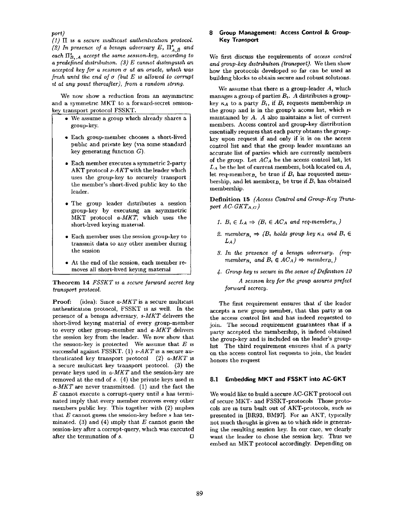# $port)$

 $(1)$   $\Pi$  *is a secure multicast authentication protocol. (2) In presence of a benign adversary E,*  $\Pi_{A,\vec{B}}^s$  and each  $\Pi_{B,A}^s$  accept the same session-key, according to *a predefined dzstmbutzon. (3) E cannot dzstznguzsh an accepted key for a sesswn a at an oracle, whzch was fresh until the end of*  $\sigma$  *(but E is allowed to corrupt it at any point thereafter), from a random string.* 

We now show a reduction from an asymmetric and a symmetric MKT to a forward-secret sessionkey transport protocol FSSKT.

- We assume a group which already shares a group-key.
- Each group-member chooses a short-lived pubhc and private key (wa some standard key generating function  $G$ ).
- Each member executes a symmetric 2-party AKT protocol *s-AKT* with the leader which uses the group-key to securely transport the member's short-lived public key to the leader.
- The group leader distributes a session group-key by executing an asymmetric MKT protocol *a-MKT,* which uses the short-hved keying material.
- Each member uses the session group-key to transmit data to any other member during the session
- At the end of the session, each member removes all short-hved keying material

Theorem 14 *FSSKT zs a secure forward secret key transport protocol.* 

**Proof:** (idea): Since *a-MKT* is a secure multicast authentication protocol, FSSKT is as well. In the presence of a bemgn adversary, *s-MKT* dehvers the short-lived keying material of every group-member to every other group-member and *a-MKT* dehvers the session key from the leader. We now show that the session-key is protected We assume that  $E$  is successful against FSSKT. (1) *s-AKT* is a secure authenticated key transport protocol (2) *a-MKT is*  a secure multicast key transport protocol. (3) the private keys used in *a-MKT* and the session-key are removed at the end of s. (4) the private keys used m *a-MKT are* never transmitted. (1) and the fact the  $E$  cannot execute a corrupt-query until  $s$  has terminated imply that every member receives every other members public key. This together with  $(2)$  implies that  $E$  cannot guess the session-key before  $s$  has terminated. (3) and (4) imply that  $E$  cannot guess the session-key after a corrupt-query, which was executed after the termination of  $s$ .

# **8 Group Management: Access Control & Group-Key Transport**

We first discuss the requirements of *access control and group-key distribution (transport).* We then show how the protocols developed so far can be used as building blocks to obtain secure and robust solutions.

We assume that there is a group-leader  $A$ , which manages a group of parties  $B<sub>t</sub>$ . A distributes a groupkey  $\kappa_A$  to a party  $B_i$ , if  $B_i$  requests membership in the group and is in the group's access hst, which is maintained by A. A also maintains a list of current members. Access control and group-key distribution essentially requires that each party obtains the groupkey upon request if and only if it is on the access control list and that the group leader maintains an accurate list of parties which are currently members of the group. Let *ACA* be the access control hst, let *LA* be the hst of current members, both located on A, let req-member<sub>B</sub>, be true if  $B_t$  has requested membership, and let members, be true if  $B<sub>i</sub>$  has obtained membership.

Definition 15 *(Access Control and Group-Key Trans*port  $AC-GKT_{A,G}$ 

- *1.*  $B_i \in L_A \Rightarrow (B_i \in AC_A \text{ and } \text{req-} \text{member}_{B_i})$
- 2. member<sub>B,</sub>  $\Rightarrow$  (B<sub>i</sub> holds group key  $\kappa_A$  and  $B_i \in$ *LA)*
- *3. In the presence of a benzgn adversary. (reqmember<sub>B</sub>*, and  $B_i \in AC_A$ )  $\Rightarrow$  *member<sub>B</sub>*,)
- *4. Group key zs secure in the sense of Definztwn 10 A sesswn key for the group assures prefect forward* secrecy.

The first requirement ensures that if the leader accepts a new group member, that this party is on the access control list and has indeed requested to join. The second requirement guarantees that if a party accepted the membership, it indeed obtained the group-key and is included on the leader's grouphst The third requirement ensures that if a party on the access control list requests to join, the leader honors the request

## **8.1 Embedding MKT and FSSKT into AC-GKT**

We would like to build a secure AC-GKT protocol out of secure MKT- and FSSKT-protocols Those protocols are m turn budt out of AKT-protocols, such as presented in [BR93, BM97]. For an AKT, typically not much thought is given as to which side is generating the resulting session key. In our case, we clearly want the leader to chose the session key. Thus we embed an MKT protocol accordingly. Depending on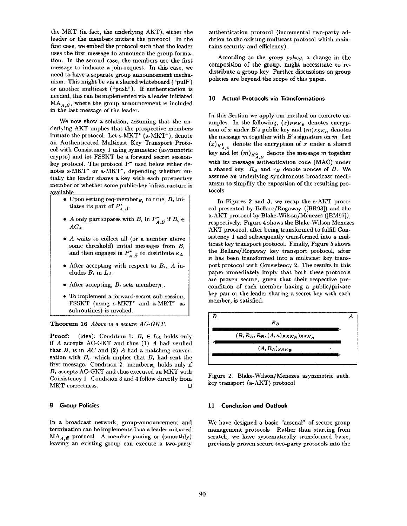the MKT (in fact, the underlying AKT), either the leader or the members initiate the protocol In the first case, we embed the protocol such that the leader uses the first message to announce the group formation. In the second case, the members use the first message to indicate a join-request. In this case, we need to have a separate group announcement mechanism. This might be via a shared whlteboard ("pull") or another multicast ("push"). If authentication is needed, this can be implemented via a leader initiated  $MA_{A,\vec{B}}$ , where the group announcement is included in the last message of the leader.

We now show a solution, assuming that the underlying AKT imphes that the prospective members initiate the protocol. Let s-MKT\* (a-MKT\*), denote an Authenticated Multicast Key Transport Protocol with Consistency 1 using symmetric (asymmetric crypto) and let FSSKT be a forward secret sessionkey protocol. The protocol  $P^*$  used below either denotes s-MKT\* or a-MKT\*, depending whether initially the leader shares a key with each prospective member or whether some public-key infrastructure is available

- Upon setting req-member<sub>B</sub>, to true,  $B_i$  initiates its part of  $P_{A,B}^*$ .
- A only participates with  $B_i$  in  $P_{A,\vec{B}}^*$  if  $B_i \in$ *ACA*
- A waits to collect all (or a number above some threshold) initial messages from  $B<sub>1</sub>$ and then engages in  $P_{A,\vec{B}}^*$  to distribute  $\kappa_A$
- After accepting with respect to  $B_i$ , A includes B, m *LA.*
- After accepting,  $B_i$  sets member<sub>B</sub>.
- To implement a forward-secret sub-session, FSSKT (using s-MKT\* and a-MKT\* as subroutines) is invoked.

Theorem 16 *Above is a secure AC-GKT.* 

**Proof:** (idea): Condition 1:  $B_i \in L_A$  holds only if A accepts AC-GKT and thus (1) A had verffied that  $B_t$  is in  $AC$  and (2) A had a matching conversation with  $B_t$ , which implies that  $B_t$  had sent the first message. Condition 2: member<sub>B</sub>, holds only if B, accepts AC-GKT and thus executed an MKT with Consistency 1 Condition 3 and 4 follow directly from MKT correctness.

# **9 Group Policies**

In a broadcast network, group-announcement and termination can be implemented via a leader initiated  $MA_{A,B}$  protocol. A member joining or (smoothly) leaving an existing group can execute a two-party

authentication protocol (incremental two-party addition to the existing multicast protocol which maintains security and efficiency).

According to the *group pohcy,* a change in the composition of the group, might necessitate to redistribute a group key Further discussions on group policies are beyond the scope of this paper.

# **10 Actual Protocols via Transformations**

In this Section we apply our method on concrete examples. In the following,  $(x)_{PEK_B}$  denotes encryption of x under B's public key and  $(m)_{SSK_B}$  denotes the message  $m$  together with  $B$ 's signature on  $m$  Let  $(x)_{K_{A,B}^1}$  denote the encryption of x under a shared key and let  $(m)_{K^2_{A,B}}$  denote the message m together with its message authentication code (MAC) under a shared key.  $R_B$  and  $r_B$  denote nonces of  $B$ . We assume an underlying synchronous broadcast mechamsm to simplify the exposition of the resulting protocols

In Figures 2 and 3, we recap the s-AKT protocol presented by Bellare/Rogaway ([BR93]) and the a-AKT protocol by Blake-Wilson/Menezes ([BM97]), respectively. Figure 4 shows the Blake-Wilson Menezes AKT protocol, after being transformed to fulfill Consistency 1 and subsequently transformed into a multicast key transport protocol. Finally, Figure 5 shows the Bellare/Rogaway key transport protocol, after it has been transformed into a multicast key transport protocol with Consistency 2. The results in this paper immediately imply that both these protocols are proven secure, given that their respective precondition of each member having a public/private key pair or the leader sharing a secret key with each member, is satisfied.



Figure 2. Blake-Wilson/Menezes asymmetric auth. key transport (a-AKT) protocol

## **11 Conclusion and Outlook**

We have designed a basic "arsenal" of secure group management protocols. Rather than starting from scratch, we have systematically transformed basic, previously proven secure two-party protocols into the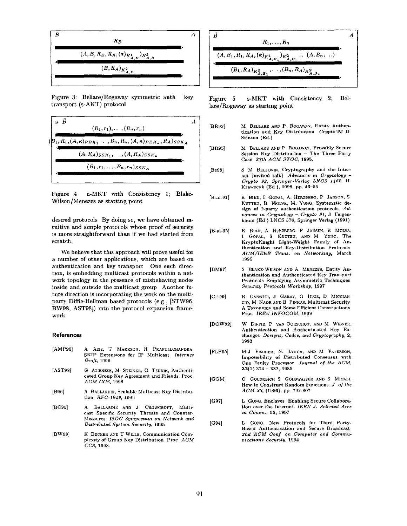

Figure 3: Bellare/Rogaway symmetric auth key transport (s-AKT) protocol



Figure 4 a-MKT with Consistency 1; Blake-Wilson/Menezes as starting point

desired protocols By doing so, we have obtained intuitive and simple protocols whose proof of security is more straightforward than if we had started from scratch.

We beheve that this approach will prove useful for a number of other applications, which are based on authentication and key transport One such direction, is embedding multicast protocols within a network topology in the presence of misbehaving nodes inside and outside the multicast group Another future direction is incorporating the work on the multiparty Diffie-Hellman based protocols (e.g, [STW96, BW98, AST98]) into the protocol expansion framework

#### **References**

- $[AMP96]$ [AST98] A Azlz, T MARKSON, H PRAFULLCHANDRA, SKIP Extensions for IP Multicast *Internet Draft,* 1996 G ATIENESE, M STEINER, G TSUDIK, Authenti-
- cated Group Key Agreement and Friends Proc *ACM CCS,* 1998
- [B96] A BALLARDIE, Scalable Multicast Key Distribution *RFC-1949*, 1996
- [BC95] A BALLARDIE AND J CROWCROFT, Multicast Specific Security Threats and Counter-Measures *ISOC Symposium on Network and D~str~buted System Secumty,* 1995
- [BW98] K BECKER AND V WILLE, Communication Complexity of Group Key Distribution Proc  $ACM$ *CCS,* 1998.



Figure 5 s-MKT with Consistency 2; Bellare/Rogaway as starting point

- [BR93] M BELLARE AND P. ROGAWAY, Entity Authentication and Key Distribution *Crypto'93 D*  Stinson (Ed.)
- [BR95] M BELLARE AND P ROGAWAY, Provably Secure Session Key Distribution - The Three Party Case *27th ACM STOC,* 1995.
- [Be98] S M BELLOVIN, Cryptography and the Internet (invited talk) *Advances In Cryptology - Crypto 98, Sprlnger-Verlag LNCS 1462, H*  Krawzcyk (Ed), 1998, pp. 46-55
- [B-al-91] R BIRD, I GOPAL, A. HERZBERG, P JANSON, S KUTTEN, R. MOLVA, M. YUNG, Systematic design of 2-party authentication protocols, *Advances ~n Cryptology - Crypto 91,* J Felgenbaum (Ed) LNCS 576, Springer Verlag (1991)
- [B-al-95] R BIRD, A HEKZBERG, P JANSEN, R MOLVA, I GOPAL, S KUTTEN, AND M YUNG, The KryptoKnight Light-Weight Family of Authentication and Key-Distribution Protocols *ACM/IEEE Trans. on Networking,* March 1995
- [BM97] S BLAKE-WILSON AND A MENEZES, Entity Authentication and Authenticated Key Transport Protocols Employing Asymmetric Techniques *Secumty Protocols Workshop,* 1997
- $[C+99]$ R CANETTI, J GARAY, G ITKIS, D MICCIAN-CIO, M NAOR AND B PINKAS, Multicast Security A Taxonomy and Some Efficient Constructions Proc *IEEE INFOCOM,* 1999
- [DOW92] W DIFFIE, P VAN OORSCHOT, AND M WIENER, Authentication and Authenticated Key Exchanges *Designs, Codes, and Cryptography, 2,*  1992
- [FLP85] M J FISCHER, N. LYNCH, AND M PATERSON, Impossibility of Distributed Consensus with One Faulty Processor *Journal of the ACM,*  32(2) 374- 382, 1985
- [GGM] O GOLDREICH S GOLDWASSER AND S MICALI, HOW to Construct Random Functions. *J of the ACM 33,* (1986), pp 792-807
- [G97] L GONG, Enclaves Enabling Secure Collaboration over the Internet. *IEEE J. Selected Ares zn Comm.,* 15, 1997
- [G94] L GONG, New Protocols for Third Party-Based Authentication and Secure Broadcast *~nd ACM Con] on Computer and Communzcat\*ons Secumty,* 1994.